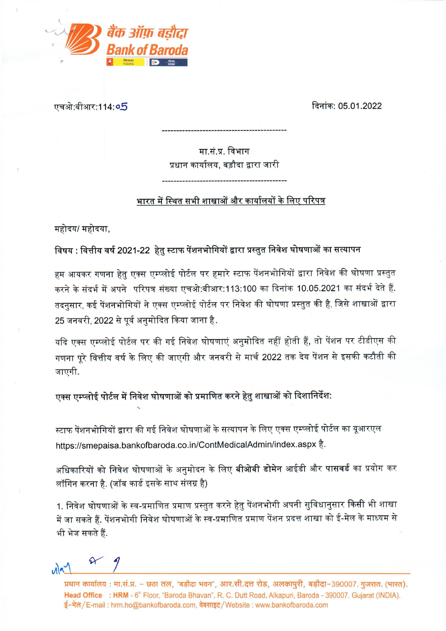

एचओ:बीआर:114:**०5** 

दिनांक: 05.01.2022

मा.सं.प्र. विभाग प्रधान कार्यालय, बड़ौदा द्वारा जारी

भारत में स्थित सभी शाखाओं और कार्यालयों के लिए परिपत्र

महोदय/ महोदया,

विषय : वित्तीय वर्ष 2021-22 हेतु स्टाफ पेंशनभोगियों द्वारा प्रस्तुत निवेश घोषणाओं का सत्यापन

हम आयकर गणना हेतु एक्स एम्प्लोई पोर्टल पर हमारे स्टाफ पेंशनभोगियों द्वारा निवेश की घोषणा प्रस्तुत करने के संदर्भ में अपने परिपत्र संख्या एचओ:बीआर:113:100 का दिनांक 10.05.2021 का संदर्भ देते हैं. तदनुसार, कई पेंशनभोगियों ने एक्स एम्प्लोई पोर्टल पर निवेश की घोषणा प्रस्तुत की है, जिसे शाखाओं द्वारा 25 जनवरी, 2022 से पूर्व अनुमोदित किया जाना है.

यदि एक्स एम्प्लोई पोर्टल पर की गई निवेश घोषणाएं अनुमोदित नहीं होती हैं, तो पेंशन पर टीडीएस की गणना पूरे वित्तीय वर्ष के लिए की जाएगी और जनवरी से मार्च 2022 तक देय पेंशन से इसकी कटौती की जाएगी.

एक्स एम्प्लोई पोर्टल में निवेश घोषणाओं को प्रमाणित करने हेतु शाखाओं को दिशानिर्देश:

स्टाफ पेंशनभोगियों द्वारा की गई निवेश घोषणाओं के सत्यापन के लिए एक्स एम्प्लोई पोर्टल का यूआरएल https://smepaisa.bankofbaroda.co.in/ContMedicalAdmin/index.aspx है.

अधिकारियों को निवेश घोषणाओं के अनुमोदन के लिए बीओबी डोमेन आईडी और पासवर्ड का प्रयोग कर लॉगिन करना है. (जॉब कार्ड इसके साथ संलग्र है)

1. निवेश घोषणाओं के स्व-प्रमाणित प्रमाण प्रस्तुत करने हेतु पेंशनभोगी अपनी सुविधानुसार किसी भी शाखा में जा सकते हैं. पेंशनभोगी निवेश घोषणाओं के स्व-प्रमाणित प्रमाण पेंशन प्रदत्त शाखा को ई-मेल के माध्यम से भी भेज सकते हैं.

 $\curvearrowleft$  $\sqrt{2}$ 

प्रधान कार्यालय: मा.सं.प्र. – छठा तल, "बड़ौदा भवन", आर.सी.दत्त रोड, अलकापुरी, बड़ौदा-390007. गुजरात. (भारत). Head Office : HRM - 6<sup>th</sup> Floor, "Baroda Bhavan", R. C. Dutt Road, Alkapuri, Baroda - 390007. Gujarat (INDIA). ई-मेल/E-mail : hrm.ho@bankofbaroda.com, वेबसाइट/Website : www.bankofbaroda.com